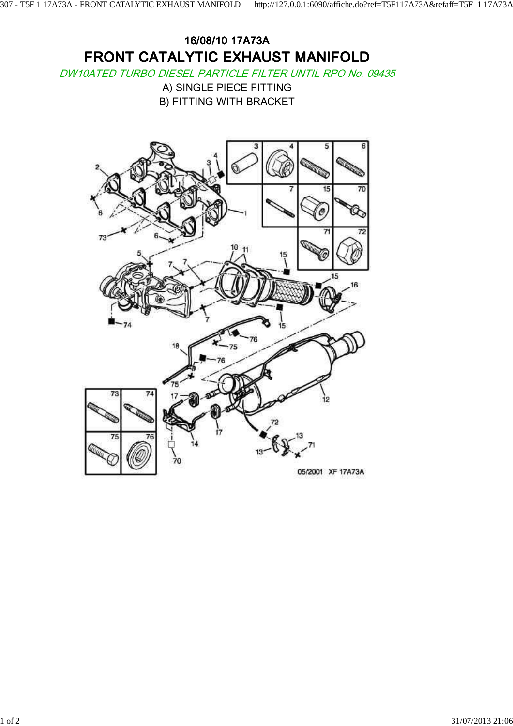## 16/08/10 17A73A FRONT CATALYTIC EXHAUST MANIFOLD

DW10ATED TURBO DIESEL PARTICLE FILTER UNTIL RPO No. 09435

A) SINGLE PIECE FITTING B) FITTING WITH BRACKET